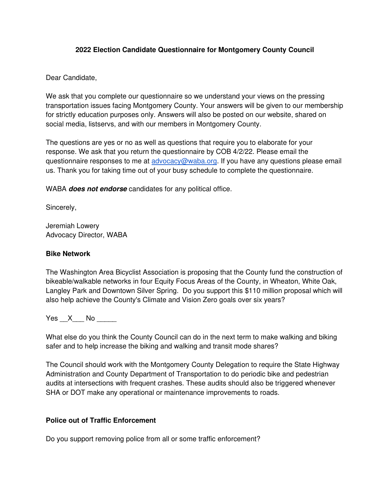## **2022 Election Candidate Questionnaire for Montgomery County Council**

## Dear Candidate,

We ask that you complete our questionnaire so we understand your views on the pressing transportation issues facing Montgomery County. Your answers will be given to our membership for strictly education purposes only. Answers will also be posted on our website, shared on social media, listservs, and with our members in Montgomery County.

The questions are yes or no as well as questions that require you to elaborate for your response. We ask that you return the questionnaire by COB 4/2/22. Please email the questionnaire responses to me at [advocacy@waba.org.](mailto:advocacy@waba.org) If you have any questions please email us. Thank you for taking time out of your busy schedule to complete the questionnaire.

WABA **does not endorse** candidates for any political office.

Sincerely,

Jeremiah Lowery Advocacy Director, WABA

#### **Bike Network**

The Washington Area Bicyclist Association is proposing that the County fund the construction of bikeable/walkable networks in four Equity Focus Areas of the County, in Wheaton, White Oak, Langley Park and Downtown Silver Spring. Do you support this \$110 million proposal which will also help achieve the County's Climate and Vision Zero goals over six years?

Yes X No  $\blacksquare$ 

What else do you think the County Council can do in the next term to make walking and biking safer and to help increase the biking and walking and transit mode shares?

The Council should work with the Montgomery County Delegation to require the State Highway Administration and County Department of Transportation to do periodic bike and pedestrian audits at intersections with frequent crashes. These audits should also be triggered whenever SHA or DOT make any operational or maintenance improvements to roads.

#### **Police out of Traffic Enforcement**

Do you support removing police from all or some traffic enforcement?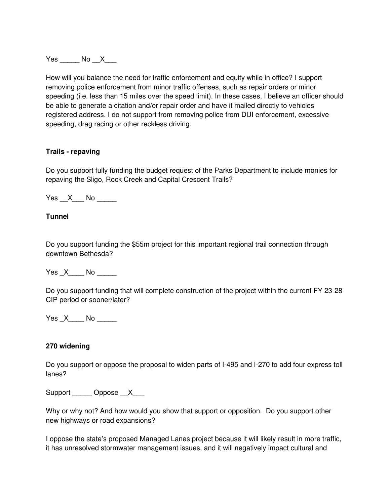Yes No X

How will you balance the need for traffic enforcement and equity while in office? I support removing police enforcement from minor traffic offenses, such as repair orders or minor speeding (i.e. less than 15 miles over the speed limit). In these cases, I believe an officer should be able to generate a citation and/or repair order and have it mailed directly to vehicles registered address. I do not support from removing police from DUI enforcement, excessive speeding, drag racing or other reckless driving.

#### **Trails - repaving**

Do you support fully funding the budget request of the Parks Department to include monies for repaving the Sligo, Rock Creek and Capital Crescent Trails?

Yes X No  $\blacksquare$ 

## **Tunnel**

Do you support funding the \$55m project for this important regional trail connection through downtown Bethesda?

Yes X \_\_\_ No \_\_\_\_\_

Do you support funding that will complete construction of the project within the current FY 23-28 CIP period or sooner/later?

Yes X No  $\blacksquare$ 

#### **270 widening**

Do you support or oppose the proposal to widen parts of I-495 and I-270 to add four express toll lanes?

Support \_\_\_\_ Oppose \_\_X\_\_\_\_

Why or why not? And how would you show that support or opposition. Do you support other new highways or road expansions?

I oppose the state's proposed Managed Lanes project because it will likely result in more traffic, it has unresolved stormwater management issues, and it will negatively impact cultural and